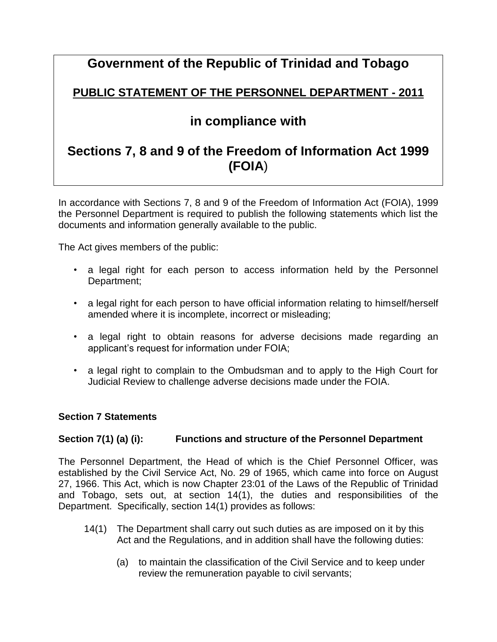# **Government of the Republic of Trinidad and Tobago**

# **PUBLIC STATEMENT OF THE PERSONNEL DEPARTMENT - 2011**

# **in compliance with**

# **Sections 7, 8 and 9 of the Freedom of Information Act 1999 (FOIA**)

In accordance with Sections 7, 8 and 9 of the Freedom of Information Act (FOIA), 1999 the Personnel Department is required to publish the following statements which list the documents and information generally available to the public.

The Act gives members of the public:

- a legal right for each person to access information held by the Personnel Department;
- a legal right for each person to have official information relating to himself/herself amended where it is incomplete, incorrect or misleading;
- a legal right to obtain reasons for adverse decisions made regarding an applicant's request for information under FOIA;
- a legal right to complain to the Ombudsman and to apply to the High Court for Judicial Review to challenge adverse decisions made under the FOIA.

### **Section 7 Statements**

# **Section 7(1) (a) (i): Functions and structure of the Personnel Department**

The Personnel Department, the Head of which is the Chief Personnel Officer, was established by the Civil Service Act, No. 29 of 1965, which came into force on August 27, 1966. This Act, which is now Chapter 23:01 of the Laws of the Republic of Trinidad and Tobago, sets out, at section 14(1), the duties and responsibilities of the Department. Specifically, section 14(1) provides as follows:

- 14(1) The Department shall carry out such duties as are imposed on it by this Act and the Regulations, and in addition shall have the following duties:
	- (a) to maintain the classification of the Civil Service and to keep under review the remuneration payable to civil servants;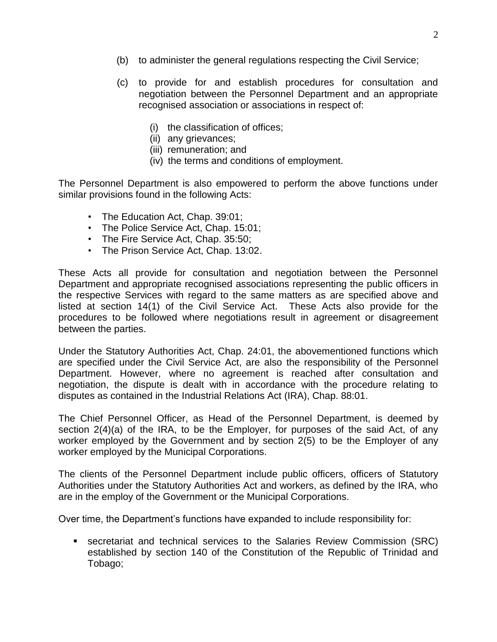- (b) to administer the general regulations respecting the Civil Service;
- (c) to provide for and establish procedures for consultation and negotiation between the Personnel Department and an appropriate recognised association or associations in respect of:
	- (i) the classification of offices;
	- (ii) any grievances;
	- (iii) remuneration; and
	- (iv) the terms and conditions of employment.

The Personnel Department is also empowered to perform the above functions under similar provisions found in the following Acts:

- The Education Act, Chap. 39:01;
- The Police Service Act, Chap. 15:01;
- The Fire Service Act, Chap. 35:50;
- The Prison Service Act, Chap. 13:02.

These Acts all provide for consultation and negotiation between the Personnel Department and appropriate recognised associations representing the public officers in the respective Services with regard to the same matters as are specified above and listed at section 14(1) of the Civil Service Act. These Acts also provide for the procedures to be followed where negotiations result in agreement or disagreement between the parties.

Under the Statutory Authorities Act, Chap. 24:01, the abovementioned functions which are specified under the Civil Service Act, are also the responsibility of the Personnel Department. However, where no agreement is reached after consultation and negotiation, the dispute is dealt with in accordance with the procedure relating to disputes as contained in the Industrial Relations Act (IRA), Chap. 88:01.

The Chief Personnel Officer, as Head of the Personnel Department, is deemed by section 2(4)(a) of the IRA, to be the Employer, for purposes of the said Act, of any worker employed by the Government and by section 2(5) to be the Employer of any worker employed by the Municipal Corporations.

The clients of the Personnel Department include public officers, officers of Statutory Authorities under the Statutory Authorities Act and workers, as defined by the IRA, who are in the employ of the Government or the Municipal Corporations.

Over time, the Department's functions have expanded to include responsibility for:

 secretariat and technical services to the Salaries Review Commission (SRC) established by section 140 of the Constitution of the Republic of Trinidad and Tobago;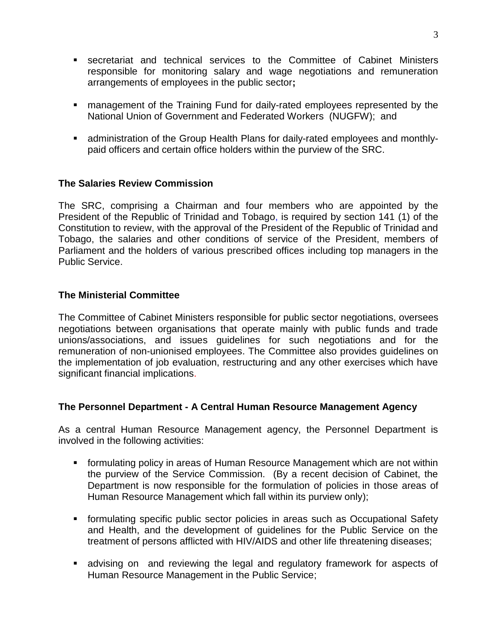- secretariat and technical services to the Committee of Cabinet Ministers responsible for monitoring salary and wage negotiations and remuneration arrangements of employees in the public sector**;**
- management of the Training Fund for daily-rated employees represented by the National Union of Government and Federated Workers (NUGFW); and
- administration of the Group Health Plans for daily-rated employees and monthlypaid officers and certain office holders within the purview of the SRC.

### **The Salaries Review Commission**

The SRC, comprising a Chairman and four members who are appointed by the President of the Republic of Trinidad and Tobago, is required by section 141 (1) of the Constitution to review, with the approval of the President of the Republic of Trinidad and Tobago, the salaries and other conditions of service of the President, members of Parliament and the holders of various prescribed offices including top managers in the Public Service.

#### **The Ministerial Committee**

The Committee of Cabinet Ministers responsible for public sector negotiations, oversees negotiations between organisations that operate mainly with public funds and trade unions/associations, and issues guidelines for such negotiations and for the remuneration of non-unionised employees. The Committee also provides guidelines on the implementation of job evaluation, restructuring and any other exercises which have significant financial implications.

### **The Personnel Department - A Central Human Resource Management Agency**

As a central Human Resource Management agency, the Personnel Department is involved in the following activities:

- formulating policy in areas of Human Resource Management which are not within the purview of the Service Commission. (By a recent decision of Cabinet, the Department is now responsible for the formulation of policies in those areas of Human Resource Management which fall within its purview only);
- formulating specific public sector policies in areas such as Occupational Safety and Health, and the development of guidelines for the Public Service on the treatment of persons afflicted with HIV/AIDS and other life threatening diseases;
- advising on and reviewing the legal and regulatory framework for aspects of Human Resource Management in the Public Service;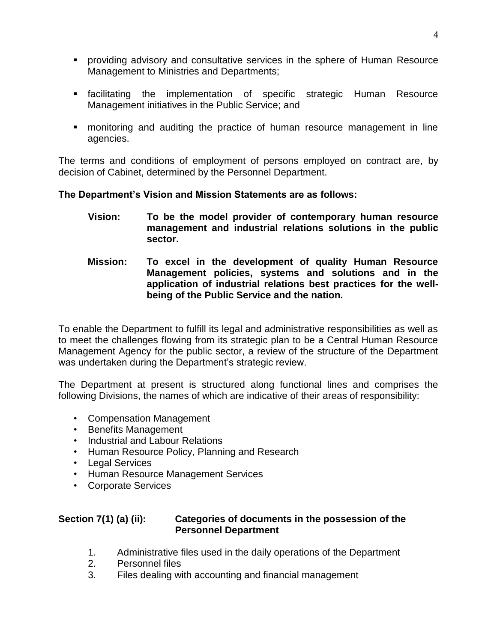- providing advisory and consultative services in the sphere of Human Resource Management to Ministries and Departments;
- facilitating the implementation of specific strategic Human Resource Management initiatives in the Public Service; and
- monitoring and auditing the practice of human resource management in line agencies.

The terms and conditions of employment of persons employed on contract are, by decision of Cabinet, determined by the Personnel Department.

### **The Department's Vision and Mission Statements are as follows:**

- **Vision: To be the model provider of contemporary human resource management and industrial relations solutions in the public sector.**
- **Mission: To excel in the development of quality Human Resource Management policies, systems and solutions and in the application of industrial relations best practices for the wellbeing of the Public Service and the nation.**

To enable the Department to fulfill its legal and administrative responsibilities as well as to meet the challenges flowing from its strategic plan to be a Central Human Resource Management Agency for the public sector, a review of the structure of the Department was undertaken during the Department's strategic review.

The Department at present is structured along functional lines and comprises the following Divisions, the names of which are indicative of their areas of responsibility:

- Compensation Management
- Benefits Management
- Industrial and Labour Relations
- Human Resource Policy, Planning and Research
- Legal Services
- Human Resource Management Services
- Corporate Services

## **Section 7(1) (a) (ii): Categories of documents in the possession of the Personnel Department**

- 1. Administrative files used in the daily operations of the Department
- 2. Personnel files
- 3. Files dealing with accounting and financial management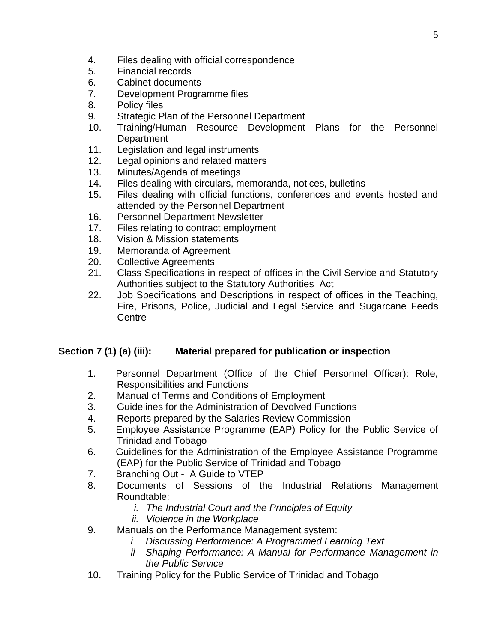- 4. Files dealing with official correspondence
- 5. Financial records
- 6. Cabinet documents
- 7. Development Programme files
- 8. Policy files
- 9. Strategic Plan of the Personnel Department
- 10. Training/Human Resource Development Plans for the Personnel **Department**
- 11. Legislation and legal instruments
- 12. Legal opinions and related matters
- 13. Minutes/Agenda of meetings
- 14. Files dealing with circulars, memoranda, notices, bulletins
- 15. Files dealing with official functions, conferences and events hosted and attended by the Personnel Department
- 16. Personnel Department Newsletter
- 17. Files relating to contract employment
- 18. Vision & Mission statements
- 19. Memoranda of Agreement
- 20. Collective Agreements
- 21. Class Specifications in respect of offices in the Civil Service and Statutory Authorities subject to the Statutory Authorities Act
- 22. Job Specifications and Descriptions in respect of offices in the Teaching, Fire, Prisons, Police, Judicial and Legal Service and Sugarcane Feeds **Centre**

# **Section 7 (1) (a) (iii): Material prepared for publication or inspection**

- 1. Personnel Department (Office of the Chief Personnel Officer): Role, Responsibilities and Functions
- 2. Manual of Terms and Conditions of Employment
- 3. Guidelines for the Administration of Devolved Functions
- 4. Reports prepared by the Salaries Review Commission
- 5. Employee Assistance Programme (EAP) Policy for the Public Service of Trinidad and Tobago
- 6. Guidelines for the Administration of the Employee Assistance Programme (EAP) for the Public Service of Trinidad and Tobago
- 7. Branching Out A Guide to VTEP
- 8. Documents of Sessions of the Industrial Relations Management Roundtable:
	- *i. The Industrial Court and the Principles of Equity*
	- *ii. Violence in the Workplace*
- 9. Manuals on the Performance Management system:
	- *i Discussing Performance: A Programmed Learning Text*
	- *ii Shaping Performance: A Manual for Performance Management in the Public Service*
- 10. Training Policy for the Public Service of Trinidad and Tobago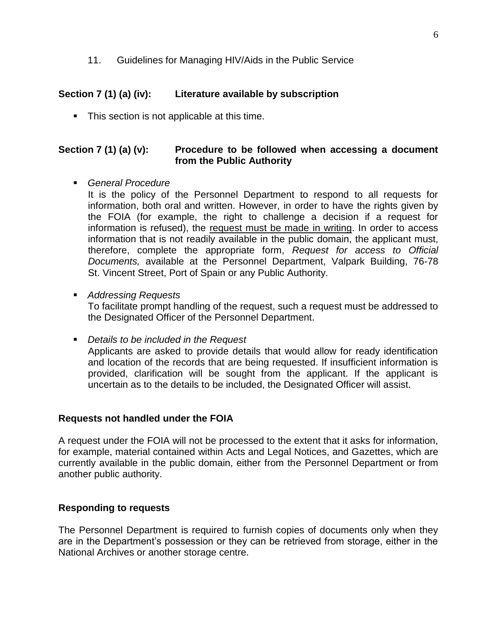11. Guidelines for Managing HIV/Aids in the Public Service

## **Section 7 (1) (a) (iv): Literature available by subscription**

• This section is not applicable at this time.

## **Section 7 (1) (a) (v): Procedure to be followed when accessing a document from the Public Authority**

*General Procedure*

It is the policy of the Personnel Department to respond to all requests for information, both oral and written. However, in order to have the rights given by the FOIA (for example, the right to challenge a decision if a request for information is refused), the request must be made in writing. In order to access information that is not readily available in the public domain, the applicant must, therefore, complete the appropriate form, *Request for access to Official Documents,* available at the Personnel Department, Valpark Building, 76-78 St. Vincent Street, Port of Spain or any Public Authority.

*Addressing Requests*

To facilitate prompt handling of the request, such a request must be addressed to the Designated Officer of the Personnel Department.

*Details to be included in the Request*

Applicants are asked to provide details that would allow for ready identification and location of the records that are being requested. If insufficient information is provided, clarification will be sought from the applicant. If the applicant is uncertain as to the details to be included, the Designated Officer will assist.

### **Requests not handled under the FOIA**

A request under the FOIA will not be processed to the extent that it asks for information, for example, material contained within Acts and Legal Notices, and Gazettes, which are currently available in the public domain, either from the Personnel Department or from another public authority.

### **Responding to requests**

The Personnel Department is required to furnish copies of documents only when they are in the Department's possession or they can be retrieved from storage, either in the National Archives or another storage centre.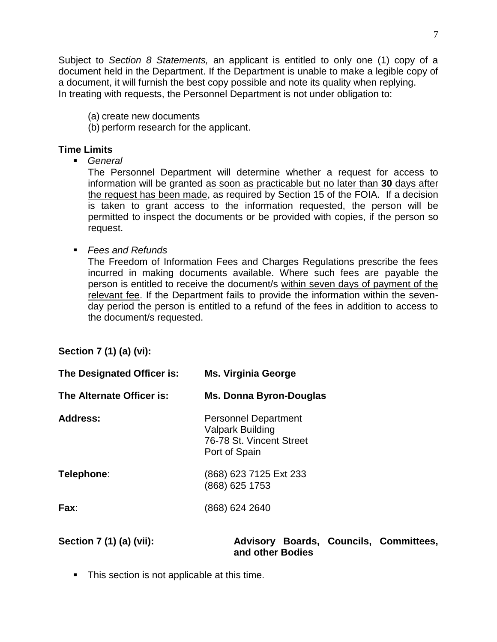Subject to *Section 8 Statements,* an applicant is entitled to only one (1) copy of a document held in the Department. If the Department is unable to make a legible copy of a document, it will furnish the best copy possible and note its quality when replying. In treating with requests, the Personnel Department is not under obligation to:

(a) create new documents

(b) perform research for the applicant.

#### **Time Limits**

*General*

The Personnel Department will determine whether a request for access to information will be granted as soon as practicable but no later than **30** days after the request has been made, as required by Section 15 of the FOIA. If a decision is taken to grant access to the information requested, the person will be permitted to inspect the documents or be provided with copies, if the person so request.

*Fees and Refunds*

The Freedom of Information Fees and Charges Regulations prescribe the fees incurred in making documents available. Where such fees are payable the person is entitled to receive the document/s within seven days of payment of the relevant fee. If the Department fails to provide the information within the sevenday period the person is entitled to a refund of the fees in addition to access to the document/s requested.

# **Section 7 (1) (a) (vi):**

| The Designated Officer is: | <b>Ms. Virginia George</b>                                                                          |
|----------------------------|-----------------------------------------------------------------------------------------------------|
| The Alternate Officer is:  | Ms. Donna Byron-Douglas                                                                             |
| Address:                   | <b>Personnel Department</b><br><b>Valpark Building</b><br>76-78 St. Vincent Street<br>Port of Spain |
| Telephone:                 | (868) 623 7125 Ext 233<br>(868) 625 1753                                                            |
| Fax:                       | (868) 624 2640                                                                                      |

**Section 7 (1) (a) (vii): Advisory Boards, Councils, Committees, and other Bodies**

**This section is not applicable at this time.**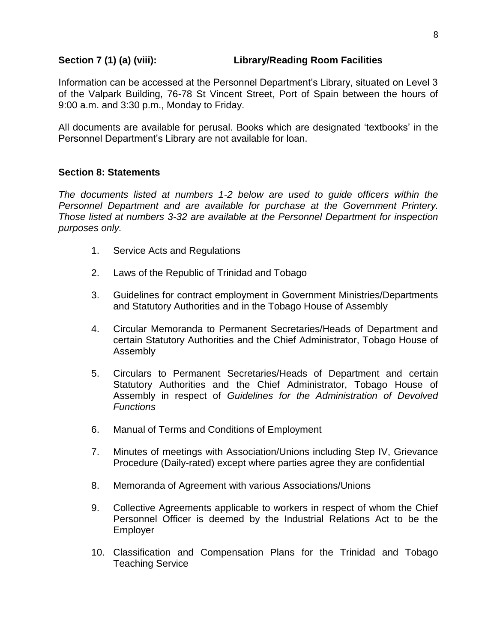#### **Section 7 (1) (a) (viii): Library/Reading Room Facilities**

Information can be accessed at the Personnel Department's Library, situated on Level 3 of the Valpark Building, 76-78 St Vincent Street, Port of Spain between the hours of 9:00 a.m. and 3:30 p.m., Monday to Friday.

All documents are available for perusal. Books which are designated 'textbooks' in the Personnel Department's Library are not available for loan.

#### **Section 8: Statements**

*The documents listed at numbers 1-2 below are used to guide officers within the Personnel Department and are available for purchase at the Government Printery. Those listed at numbers 3-32 are available at the Personnel Department for inspection purposes only.* 

- 1. Service Acts and Regulations
- 2. Laws of the Republic of Trinidad and Tobago
- 3. Guidelines for contract employment in Government Ministries/Departments and Statutory Authorities and in the Tobago House of Assembly
- 4. Circular Memoranda to Permanent Secretaries/Heads of Department and certain Statutory Authorities and the Chief Administrator, Tobago House of Assembly
- 5. Circulars to Permanent Secretaries/Heads of Department and certain Statutory Authorities and the Chief Administrator, Tobago House of Assembly in respect of *Guidelines for the Administration of Devolved Functions*
- 6. Manual of Terms and Conditions of Employment
- 7. Minutes of meetings with Association/Unions including Step IV, Grievance Procedure (Daily-rated) except where parties agree they are confidential
- 8. Memoranda of Agreement with various Associations/Unions
- 9. Collective Agreements applicable to workers in respect of whom the Chief Personnel Officer is deemed by the Industrial Relations Act to be the Employer
- 10. Classification and Compensation Plans for the Trinidad and Tobago Teaching Service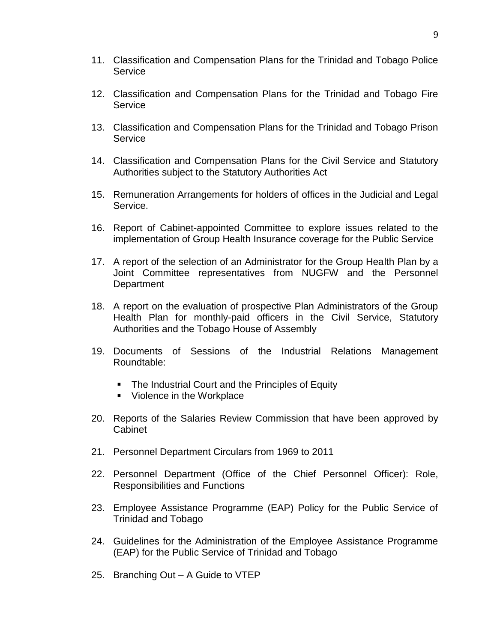- 11. Classification and Compensation Plans for the Trinidad and Tobago Police **Service**
- 12. Classification and Compensation Plans for the Trinidad and Tobago Fire **Service**
- 13. Classification and Compensation Plans for the Trinidad and Tobago Prison Service
- 14. Classification and Compensation Plans for the Civil Service and Statutory Authorities subject to the Statutory Authorities Act
- 15. Remuneration Arrangements for holders of offices in the Judicial and Legal Service.
- 16. Report of Cabinet-appointed Committee to explore issues related to the implementation of Group Health Insurance coverage for the Public Service
- 17. A report of the selection of an Administrator for the Group Health Plan by a Joint Committee representatives from NUGFW and the Personnel **Department**
- 18. A report on the evaluation of prospective Plan Administrators of the Group Health Plan for monthly-paid officers in the Civil Service, Statutory Authorities and the Tobago House of Assembly
- 19. Documents of Sessions of the Industrial Relations Management Roundtable:
	- The Industrial Court and the Principles of Equity
	- Violence in the Workplace
- 20. Reports of the Salaries Review Commission that have been approved by Cabinet
- 21. Personnel Department Circulars from 1969 to 2011
- 22. Personnel Department (Office of the Chief Personnel Officer): Role, Responsibilities and Functions
- 23. Employee Assistance Programme (EAP) Policy for the Public Service of Trinidad and Tobago
- 24. Guidelines for the Administration of the Employee Assistance Programme (EAP) for the Public Service of Trinidad and Tobago
- 25. Branching Out A Guide to VTEP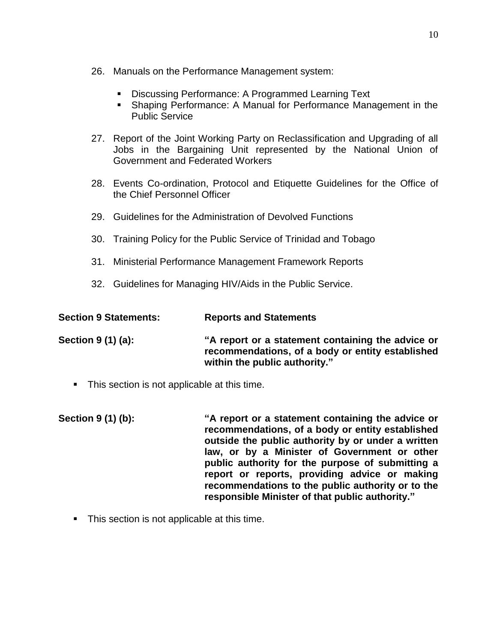- 26. Manuals on the Performance Management system:
	- Discussing Performance: A Programmed Learning Text
	- Shaping Performance: A Manual for Performance Management in the Public Service
- 27. Report of the Joint Working Party on Reclassification and Upgrading of all Jobs in the Bargaining Unit represented by the National Union of Government and Federated Workers
- 28. Events Co-ordination, Protocol and Etiquette Guidelines for the Office of the Chief Personnel Officer
- 29. Guidelines for the Administration of Devolved Functions
- 30. Training Policy for the Public Service of Trinidad and Tobago
- 31. Ministerial Performance Management Framework Reports
- 32. Guidelines for Managing HIV/Aids in the Public Service.

| <b>Section 9 Statements:</b> | <b>Reports and Statements</b>                                                                                                          |
|------------------------------|----------------------------------------------------------------------------------------------------------------------------------------|
| Section $9(1)(a)$ :          | "A report or a statement containing the advice or<br>recommendations, of a body or entity established<br>within the public authority." |

- **This section is not applicable at this time.**
- **Section 9 (1) (b): "A report or a statement containing the advice or recommendations, of a body or entity established outside the public authority by or under a written law, or by a Minister of Government or other public authority for the purpose of submitting a report or reports, providing advice or making recommendations to the public authority or to the responsible Minister of that public authority."**
	- **This section is not applicable at this time.**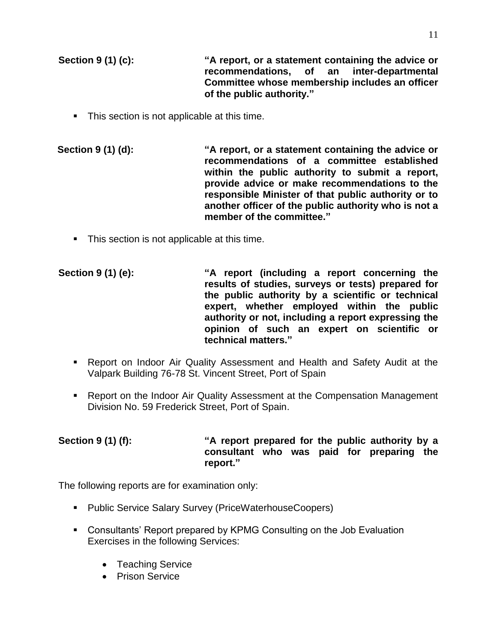**Section 9 (1) (c): "A report, or a statement containing the advice or recommendations, of an inter-departmental Committee whose membership includes an officer of the public authority."**

**This section is not applicable at this time.** 

**Section 9 (1) (d): "A report, or a statement containing the advice or recommendations of a committee established within the public authority to submit a report, provide advice or make recommendations to the responsible Minister of that public authority or to another officer of the public authority who is not a member of the committee."** 

- This section is not applicable at this time.
- **Section 9 (1) (e): "A report (including a report concerning the results of studies, surveys or tests) prepared for the public authority by a scientific or technical expert, whether employed within the public authority or not, including a report expressing the opinion of such an expert on scientific or technical matters."**
	- Report on Indoor Air Quality Assessment and Health and Safety Audit at the Valpark Building 76-78 St. Vincent Street, Port of Spain
	- Report on the Indoor Air Quality Assessment at the Compensation Management Division No. 59 Frederick Street, Port of Spain.

### **Section 9 (1) (f): "A report prepared for the public authority by a consultant who was paid for preparing the report."**

The following reports are for examination only:

- **Public Service Salary Survey (PriceWaterhouseCoopers)**
- Consultants' Report prepared by KPMG Consulting on the Job Evaluation Exercises in the following Services:
	- Teaching Service
	- **•** Prison Service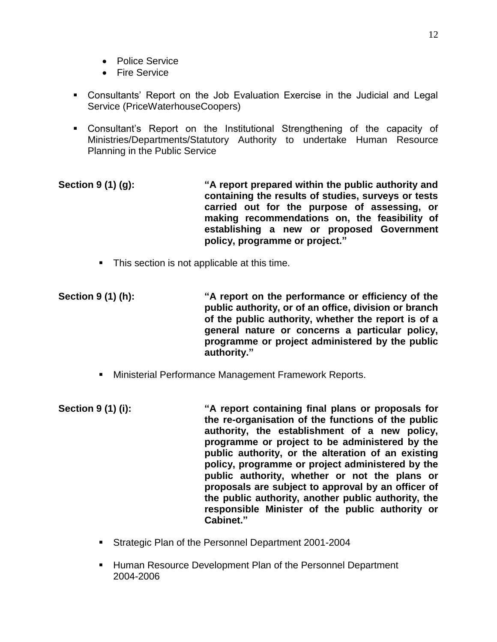- Police Service
- **•** Fire Service
- Consultants' Report on the Job Evaluation Exercise in the Judicial and Legal Service (PriceWaterhouseCoopers)
- Consultant's Report on the Institutional Strengthening of the capacity of Ministries/Departments/Statutory Authority to undertake Human Resource Planning in the Public Service
- **Section 9 (1) (g): "A report prepared within the public authority and containing the results of studies, surveys or tests carried out for the purpose of assessing, or making recommendations on, the feasibility of establishing a new or proposed Government policy, programme or project."**
	- **This section is not applicable at this time.**
- **Section 9 (1) (h): "A report on the performance or efficiency of the public authority, or of an office, division or branch of the public authority, whether the report is of a general nature or concerns a particular policy, programme or project administered by the public authority."**
	- Ministerial Performance Management Framework Reports.
- **Section 9 (1) (i): "A report containing final plans or proposals for the re-organisation of the functions of the public authority, the establishment of a new policy, programme or project to be administered by the public authority, or the alteration of an existing policy, programme or project administered by the public authority, whether or not the plans or proposals are subject to approval by an officer of the public authority, another public authority, the responsible Minister of the public authority or Cabinet."**
	- **Strategic Plan of the Personnel Department 2001-2004**
	- **Human Resource Development Plan of the Personnel Department** 2004-2006